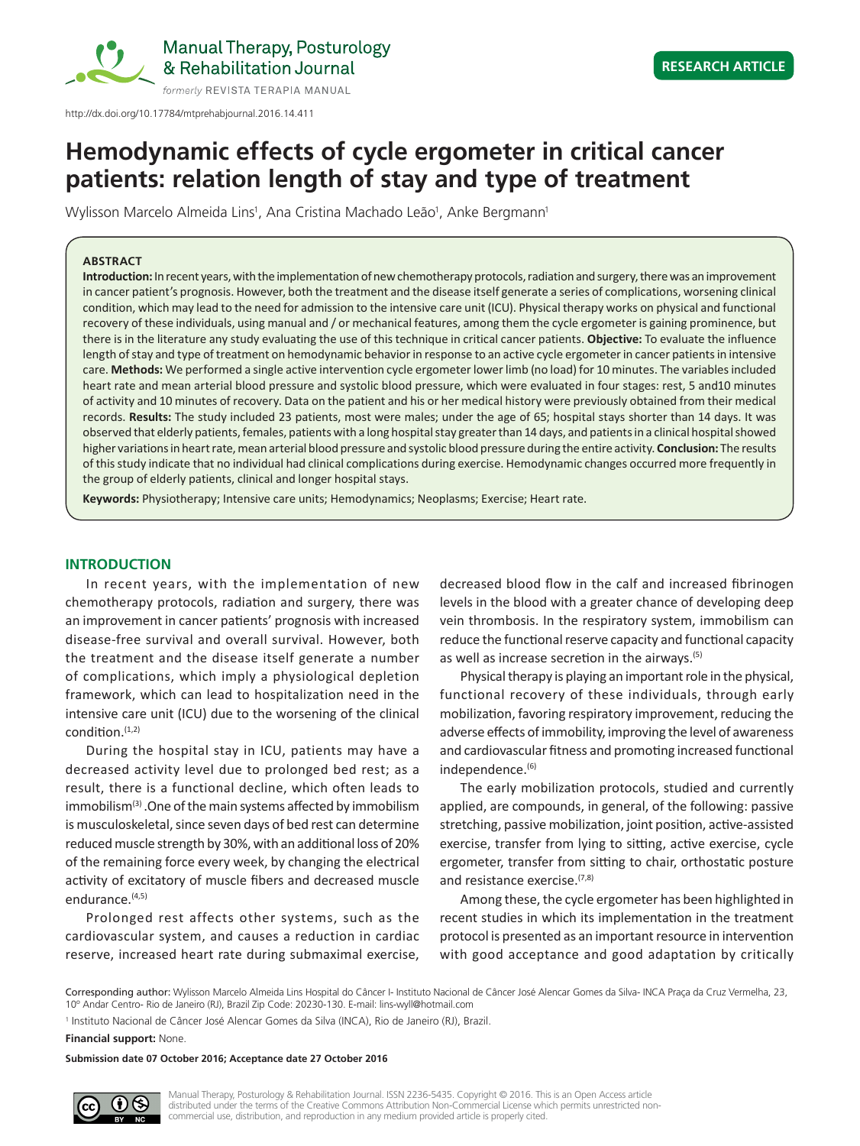

http://dx.doi.org/10.17784/mtprehabjournal.2016.14.411

# **Hemodynamic effects of cycle ergometer in critical cancer patients: relation length of stay and type of treatment**

Wylisson Marcelo Almeida Lins<sup>1</sup>, Ana Cristina Machado Leão<sup>1</sup>, Anke Bergmann<sup>1</sup>

# **ABSTRACT**

**Introduction:** In recent years, with the implementation of new chemotherapy protocols, radiation and surgery, there was an improvement in cancer patient's prognosis. However, both the treatment and the disease itself generate a series of complications, worsening clinical condition, which may lead to the need for admission to the intensive care unit (ICU). Physical therapy works on physical and functional recovery of these individuals, using manual and / or mechanical features, among them the cycle ergometer is gaining prominence, but there is in the literature any study evaluating the use of this technique in critical cancer patients. **Objective:** To evaluate the influence length of stay and type of treatment on hemodynamic behavior in response to an active cycle ergometer in cancer patients in intensive care. **Methods:** We performed a single active intervention cycle ergometer lower limb (no load) for 10 minutes. The variables included heart rate and mean arterial blood pressure and systolic blood pressure, which were evaluated in four stages: rest, 5 and10 minutes of activity and 10 minutes of recovery. Data on the patient and his or her medical history were previously obtained from their medical records. **Results:** The study included 23 patients, most were males; under the age of 65; hospital stays shorter than 14 days. It was observed that elderly patients, females, patients with a long hospital stay greater than 14 days, and patients in a clinical hospital showed higher variations in heart rate, mean arterial blood pressure and systolic blood pressure during the entire activity. **Conclusion:** The results of this study indicate that no individual had clinical complications during exercise. Hemodynamic changes occurred more frequently in the group of elderly patients, clinical and longer hospital stays.

**Keywords:** Physiotherapy; Intensive care units; Hemodynamics; Neoplasms; Exercise; Heart rate.

# **INTRODUCTION**

In recent years, with the implementation of new chemotherapy protocols, radiation and surgery, there was an improvement in cancer patients' prognosis with increased disease-free survival and overall survival. However, both the treatment and the disease itself generate a number of complications, which imply a physiological depletion framework, which can lead to hospitalization need in the intensive care unit (ICU) due to the worsening of the clinical condition.(1,2)

During the hospital stay in ICU, patients may have a decreased activity level due to prolonged bed rest; as a result, there is a functional decline, which often leads to immobilism<sup>(3)</sup>. One of the main systems affected by immobilism is musculoskeletal, since seven days of bed rest can determine reduced muscle strength by 30%, with an additional loss of 20% of the remaining force every week, by changing the electrical activity of excitatory of muscle fibers and decreased muscle endurance.<sup>(4,5)</sup>

Prolonged rest affects other systems, such as the cardiovascular system, and causes a reduction in cardiac reserve, increased heart rate during submaximal exercise,

decreased blood flow in the calf and increased fibrinogen levels in the blood with a greater chance of developing deep vein thrombosis. In the respiratory system, immobilism can reduce the functional reserve capacity and functional capacity as well as increase secretion in the airways.(5)

Physical therapy is playing an important role in the physical, functional recovery of these individuals, through early mobilization, favoring respiratory improvement, reducing the adverse effects of immobility, improving the level of awareness and cardiovascular fitness and promoting increased functional independence.<sup>(6)</sup>

The early mobilization protocols, studied and currently applied, are compounds, in general, of the following: passive stretching, passive mobilization, joint position, active-assisted exercise, transfer from lying to sitting, active exercise, cycle ergometer, transfer from sitting to chair, orthostatic posture and resistance exercise.(7,8)

Among these, the cycle ergometer has been highlighted in recent studies in which its implementation in the treatment protocol is presented as an important resource in intervention with good acceptance and good adaptation by critically

Corresponding author: Wylisson Marcelo Almeida Lins Hospital do Câncer I- Instituto Nacional de Câncer José Alencar Gomes da Silva- INCA Praça da Cruz Vermelha, 23, 10º Andar Centro- Rio de Janeiro (RJ), Brazil Zip Code: 20230-130. E-mail: lins-wyll@hotmail.com

<sup>1</sup> Instituto Nacional de Câncer José Alencar Gomes da Silva (INCA), Rio de Janeiro (RJ), Brazil.

**Financial support:** None.

**Submission date 07 October 2016; Acceptance date 27 October 2016**

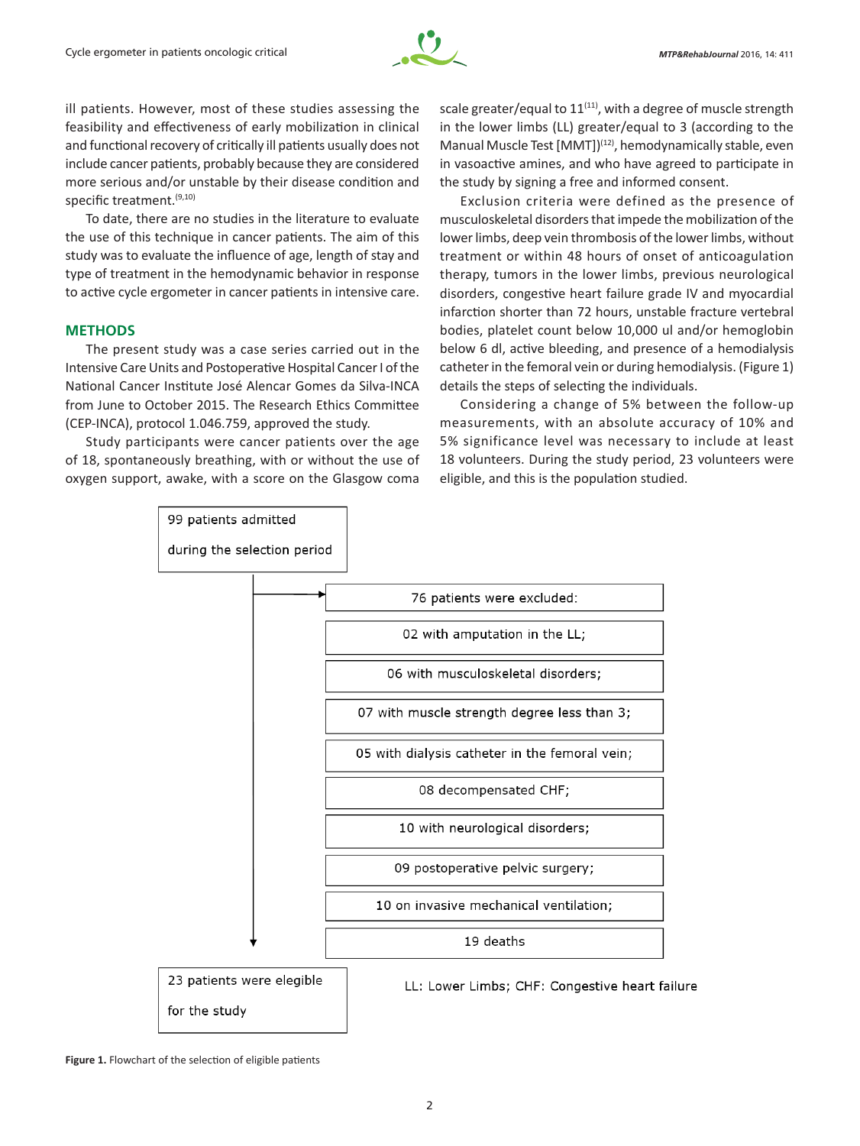

ill patients. However, most of these studies assessing the feasibility and effectiveness of early mobilization in clinical and functional recovery of critically ill patients usually does not include cancer patients, probably because they are considered more serious and/or unstable by their disease condition and specific treatment.<sup>(9,10)</sup>

To date, there are no studies in the literature to evaluate the use of this technique in cancer patients. The aim of this study was to evaluate the influence of age, length of stay and type of treatment in the hemodynamic behavior in response to active cycle ergometer in cancer patients in intensive care.

# **METHODS**

The present study was a case series carried out in the Intensive Care Units and Postoperative Hospital Cancer I of the National Cancer Institute José Alencar Gomes da Silva-INCA from June to October 2015. The Research Ethics Committee (CEP-INCA), protocol 1.046.759, approved the study.

Study participants were cancer patients over the age of 18, spontaneously breathing, with or without the use of oxygen support, awake, with a score on the Glasgow coma

scale greater/equal to  $11^{(11)}$ , with a degree of muscle strength in the lower limbs (LL) greater/equal to 3 (according to the Manual Muscle Test [MMT])(12), hemodynamically stable, even in vasoactive amines, and who have agreed to participate in the study by signing a free and informed consent.

Exclusion criteria were defined as the presence of musculoskeletal disorders that impede the mobilization of the lower limbs, deep vein thrombosis of the lower limbs, without treatment or within 48 hours of onset of anticoagulation therapy, tumors in the lower limbs, previous neurological disorders, congestive heart failure grade IV and myocardial infarction shorter than 72 hours, unstable fracture vertebral bodies, platelet count below 10,000 ul and/or hemoglobin below 6 dl, active bleeding, and presence of a hemodialysis catheter in the femoral vein or during hemodialysis. (Figure 1) details the steps of selecting the individuals.

Considering a change of 5% between the follow-up measurements, with an absolute accuracy of 10% and 5% significance level was necessary to include at least 18 volunteers. During the study period, 23 volunteers were eligible, and this is the population studied.



**Figure 1.** Flowchart of the selection of eligible patients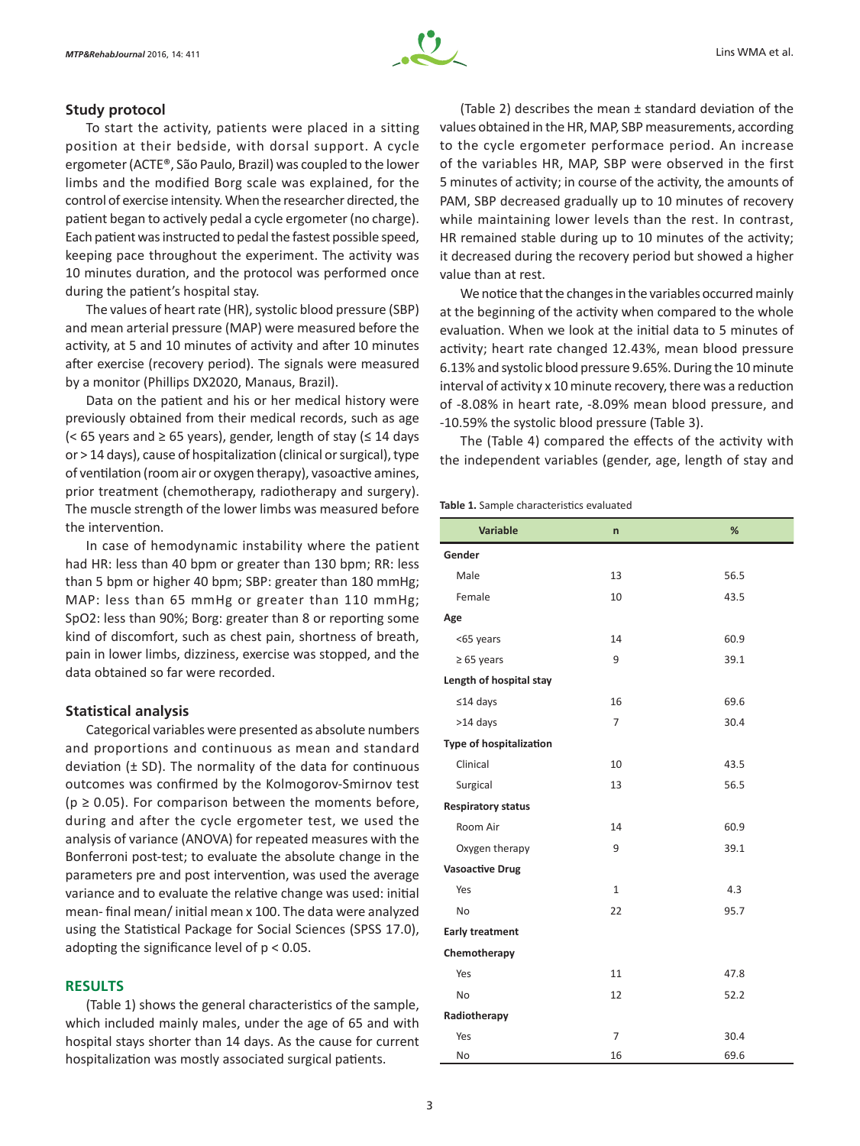

# **Study protocol**

To start the activity, patients were placed in a sitting position at their bedside, with dorsal support. A cycle ergometer (ACTE®, São Paulo, Brazil) was coupled to the lower limbs and the modified Borg scale was explained, for the control of exercise intensity. When the researcher directed, the patient began to actively pedal a cycle ergometer (no charge). Each patient was instructed to pedal the fastest possible speed, keeping pace throughout the experiment. The activity was 10 minutes duration, and the protocol was performed once during the patient's hospital stay.

The values of heart rate (HR), systolic blood pressure (SBP) and mean arterial pressure (MAP) were measured before the activity, at 5 and 10 minutes of activity and after 10 minutes after exercise (recovery period). The signals were measured by a monitor (Phillips DX2020, Manaus, Brazil).

Data on the patient and his or her medical history were previously obtained from their medical records, such as age (< 65 years and ≥ 65 years), gender, length of stay ( $≤ 14$  days or > 14 days), cause of hospitalization (clinical or surgical), type of ventilation (room air or oxygen therapy), vasoactive amines, prior treatment (chemotherapy, radiotherapy and surgery). The muscle strength of the lower limbs was measured before the intervention.

In case of hemodynamic instability where the patient had HR: less than 40 bpm or greater than 130 bpm; RR: less than 5 bpm or higher 40 bpm; SBP: greater than 180 mmHg; MAP: less than 65 mmHg or greater than 110 mmHg; SpO2: less than 90%; Borg: greater than 8 or reporting some kind of discomfort, such as chest pain, shortness of breath, pain in lower limbs, dizziness, exercise was stopped, and the data obtained so far were recorded.

# **Statistical analysis**

Categorical variables were presented as absolute numbers and proportions and continuous as mean and standard deviation  $(\pm$  SD). The normality of the data for continuous outcomes was confirmed by the Kolmogorov-Smirnov test  $(p \ge 0.05)$ . For comparison between the moments before, during and after the cycle ergometer test, we used the analysis of variance (ANOVA) for repeated measures with the Bonferroni post-test; to evaluate the absolute change in the parameters pre and post intervention, was used the average variance and to evaluate the relative change was used: initial mean- final mean/ initial mean x 100. The data were analyzed using the Statistical Package for Social Sciences (SPSS 17.0), adopting the significance level of p < 0.05.

## **RESULTS**

(Table 1) shows the general characteristics of the sample, which included mainly males, under the age of 65 and with hospital stays shorter than 14 days. As the cause for current hospitalization was mostly associated surgical patients.

(Table 2) describes the mean ± standard deviation of the values obtained in the HR, MAP, SBP measurements, according to the cycle ergometer performace period. An increase of the variables HR, MAP, SBP were observed in the first 5 minutes of activity; in course of the activity, the amounts of PAM, SBP decreased gradually up to 10 minutes of recovery while maintaining lower levels than the rest. In contrast, HR remained stable during up to 10 minutes of the activity; it decreased during the recovery period but showed a higher value than at rest.

We notice that the changes in the variables occurred mainly at the beginning of the activity when compared to the whole evaluation. When we look at the initial data to 5 minutes of activity; heart rate changed 12.43%, mean blood pressure 6.13% and systolic blood pressure 9.65%. During the 10 minute interval of activity x 10 minute recovery, there was a reduction of -8.08% in heart rate, -8.09% mean blood pressure, and -10.59% the systolic blood pressure (Table 3).

The (Table 4) compared the effects of the activity with the independent variables (gender, age, length of stay and

#### **Table 1.** Sample characteristics evaluated

| <b>Variable</b>                | $\mathsf{n}$   | %    |
|--------------------------------|----------------|------|
| Gender                         |                |      |
| Male                           | 13             | 56.5 |
| Female                         | 10             | 43.5 |
| Age                            |                |      |
| <65 years                      | 14             | 60.9 |
| $\geq 65$ years                | 9              | 39.1 |
| Length of hospital stay        |                |      |
| $≤14$ days                     | 16             | 69.6 |
| >14 days                       | $\overline{7}$ | 30.4 |
| <b>Type of hospitalization</b> |                |      |
| Clinical                       | 10             | 43.5 |
| Surgical                       | 13             | 56.5 |
| <b>Respiratory status</b>      |                |      |
| Room Air                       | 14             | 60.9 |
| Oxygen therapy                 | 9              | 39.1 |
| <b>Vasoactive Drug</b>         |                |      |
| Yes                            | $\mathbf{1}$   | 4.3  |
| <b>No</b>                      | 22             | 95.7 |
| <b>Early treatment</b>         |                |      |
| Chemotherapy                   |                |      |
| Yes                            | 11             | 47.8 |
| No                             | 12             | 52.2 |
| Radiotherapy                   |                |      |
| Yes                            | $\overline{7}$ | 30.4 |
| No                             | 16             | 69.6 |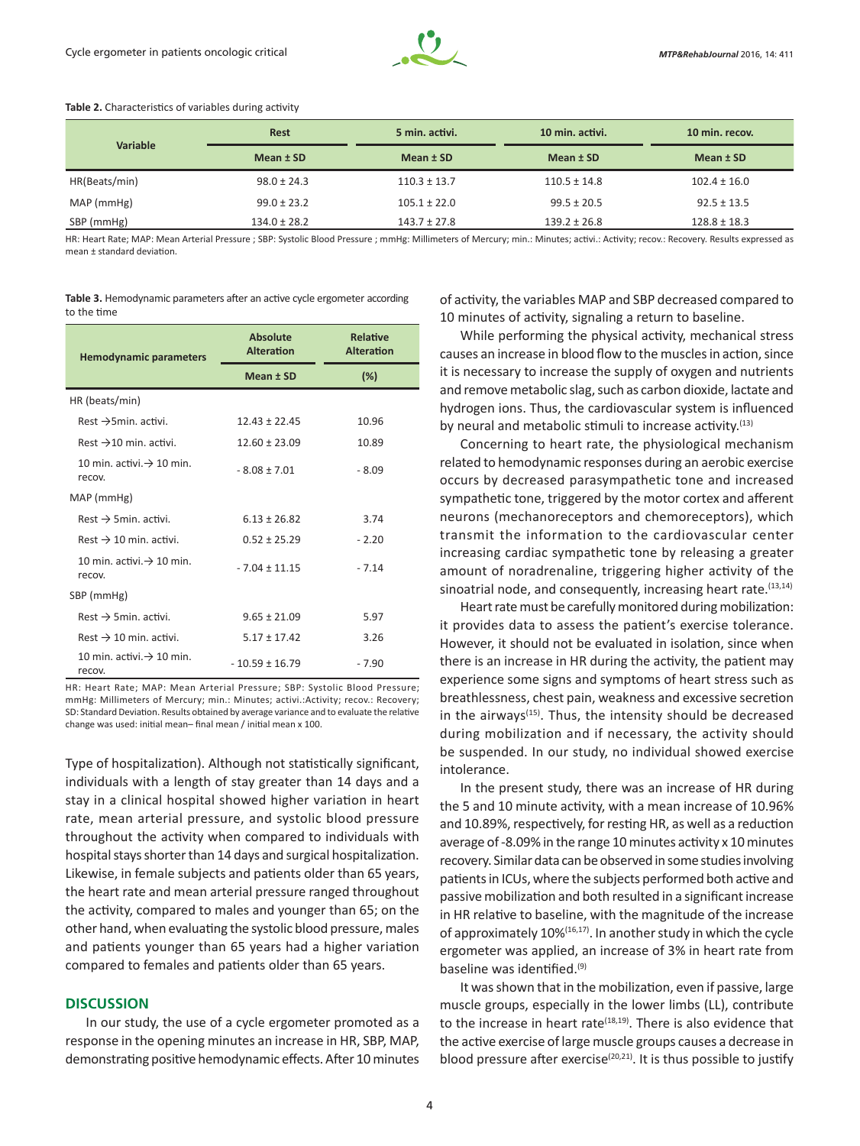

#### **Table 2.** Characteristics of variables during activity

| Variable      | <b>Rest</b>      | 5 min. activi.   | 10 min. activi.  | 10 min. recov.<br>Mean $±$ SD |  |
|---------------|------------------|------------------|------------------|-------------------------------|--|
|               | Mean $±$ SD      | Mean $±$ SD      | Mean $±$ SD      |                               |  |
| HR(Beats/min) | $98.0 \pm 24.3$  | $110.3 \pm 13.7$ | $110.5 \pm 14.8$ | $102.4 \pm 16.0$              |  |
| MAP (mmHg)    | $99.0 \pm 23.2$  | $105.1 \pm 22.0$ | $99.5 \pm 20.5$  | $92.5 \pm 13.5$               |  |
| SBP (mmHg)    | $134.0 \pm 28.2$ | $143.7 \pm 27.8$ | $139.2 \pm 26.8$ | $128.8 \pm 18.3$              |  |

HR: Heart Rate; MAP: Mean Arterial Pressure ; SBP: Systolic Blood Pressure ; mmHg: Millimeters of Mercury; min.: Minutes; activi.: Activity; recov.: Recovery. Results expressed as mean ± standard deviation.

**Table 3.** Hemodynamic parameters after an active cycle ergometer according to the time

| <b>Hemodynamic parameters</b>                   | <b>Absolute</b><br><b>Alteration</b> | <b>Relative</b><br><b>Alteration</b> |  |
|-------------------------------------------------|--------------------------------------|--------------------------------------|--|
|                                                 | Mean ± SD                            | $(\%)$                               |  |
| HR (beats/min)                                  |                                      |                                      |  |
| Rest $\rightarrow$ 5 min. activi.               | $12.43 \pm 22.45$                    | 10.96                                |  |
| Rest $\rightarrow$ 10 min. activi.              | $12.60 \pm 23.09$                    | 10.89                                |  |
| 10 min. activi. $\rightarrow$ 10 min.<br>recov. | $-8.08 \pm 7.01$                     | $-8.09$                              |  |
| MAP (mmHg)                                      |                                      |                                      |  |
| $Rest \rightarrow 5min$ activi.                 | $6.13 \pm 26.82$                     | 3.74                                 |  |
| Rest $\rightarrow$ 10 min. activi.              | $0.52 \pm 25.29$                     | $-2.20$                              |  |
| 10 min. activi. $\rightarrow$ 10 min.<br>recov. | $-7.04 \pm 11.15$                    | $-7.14$                              |  |
| SBP (mmHg)                                      |                                      |                                      |  |
| $Rest \rightarrow 5min$ activi.                 | $9.65 + 21.09$                       | 5.97                                 |  |
| Rest $\rightarrow$ 10 min. activi.              | $5.17 \pm 17.42$                     | 3.26                                 |  |
| 10 min. activi. $\rightarrow$ 10 min.<br>recov. | $-10.59 \pm 16.79$                   | $-7.90$                              |  |

HR: Heart Rate; MAP: Mean Arterial Pressure; SBP: Systolic Blood Pressure; mmHg: Millimeters of Mercury; min.: Minutes; activi.:Activity; recov.: Recovery; SD: Standard Deviation. Results obtained by average variance and to evaluate the relative change was used: initial mean– final mean / initial mean x 100.

Type of hospitalization). Although not statistically significant, individuals with a length of stay greater than 14 days and a stay in a clinical hospital showed higher variation in heart rate, mean arterial pressure, and systolic blood pressure throughout the activity when compared to individuals with hospital stays shorter than 14 days and surgical hospitalization. Likewise, in female subjects and patients older than 65 years, the heart rate and mean arterial pressure ranged throughout the activity, compared to males and younger than 65; on the other hand, when evaluating the systolic blood pressure, males and patients younger than 65 years had a higher variation compared to females and patients older than 65 years.

# **DISCUSSION**

In our study, the use of a cycle ergometer promoted as a response in the opening minutes an increase in HR, SBP, MAP, demonstrating positive hemodynamic effects. After 10 minutes of activity, the variables MAP and SBP decreased compared to 10 minutes of activity, signaling a return to baseline.

While performing the physical activity, mechanical stress causes an increase in blood flow to the muscles in action, since it is necessary to increase the supply of oxygen and nutrients and remove metabolic slag, such as carbon dioxide, lactate and hydrogen ions. Thus, the cardiovascular system is influenced by neural and metabolic stimuli to increase activity.<sup>(13)</sup>

Concerning to heart rate, the physiological mechanism related to hemodynamic responses during an aerobic exercise occurs by decreased parasympathetic tone and increased sympathetic tone, triggered by the motor cortex and afferent neurons (mechanoreceptors and chemoreceptors), which transmit the information to the cardiovascular center increasing cardiac sympathetic tone by releasing a greater amount of noradrenaline, triggering higher activity of the sinoatrial node, and consequently, increasing heart rate.<sup>(13,14)</sup>

Heart rate must be carefully monitored during mobilization: it provides data to assess the patient's exercise tolerance. However, it should not be evaluated in isolation, since when there is an increase in HR during the activity, the patient may experience some signs and symptoms of heart stress such as breathlessness, chest pain, weakness and excessive secretion in the airways<sup>(15)</sup>. Thus, the intensity should be decreased during mobilization and if necessary, the activity should be suspended. In our study, no individual showed exercise intolerance.

In the present study, there was an increase of HR during the 5 and 10 minute activity, with a mean increase of 10.96% and 10.89%, respectively, for resting HR, as well as a reduction average of -8.09% in the range 10 minutes activity x 10 minutes recovery. Similar data can be observed in some studies involving patients in ICUs, where the subjects performed both active and passive mobilization and both resulted in a significant increase in HR relative to baseline, with the magnitude of the increase of approximately 10%(16,17). In another study in which the cycle ergometer was applied, an increase of 3% in heart rate from baseline was identified.(9)

It was shown that in the mobilization, even if passive, large muscle groups, especially in the lower limbs (LL), contribute to the increase in heart rate<sup>(18,19)</sup>. There is also evidence that the active exercise of large muscle groups causes a decrease in blood pressure after exercise $(20,21)$ . It is thus possible to justify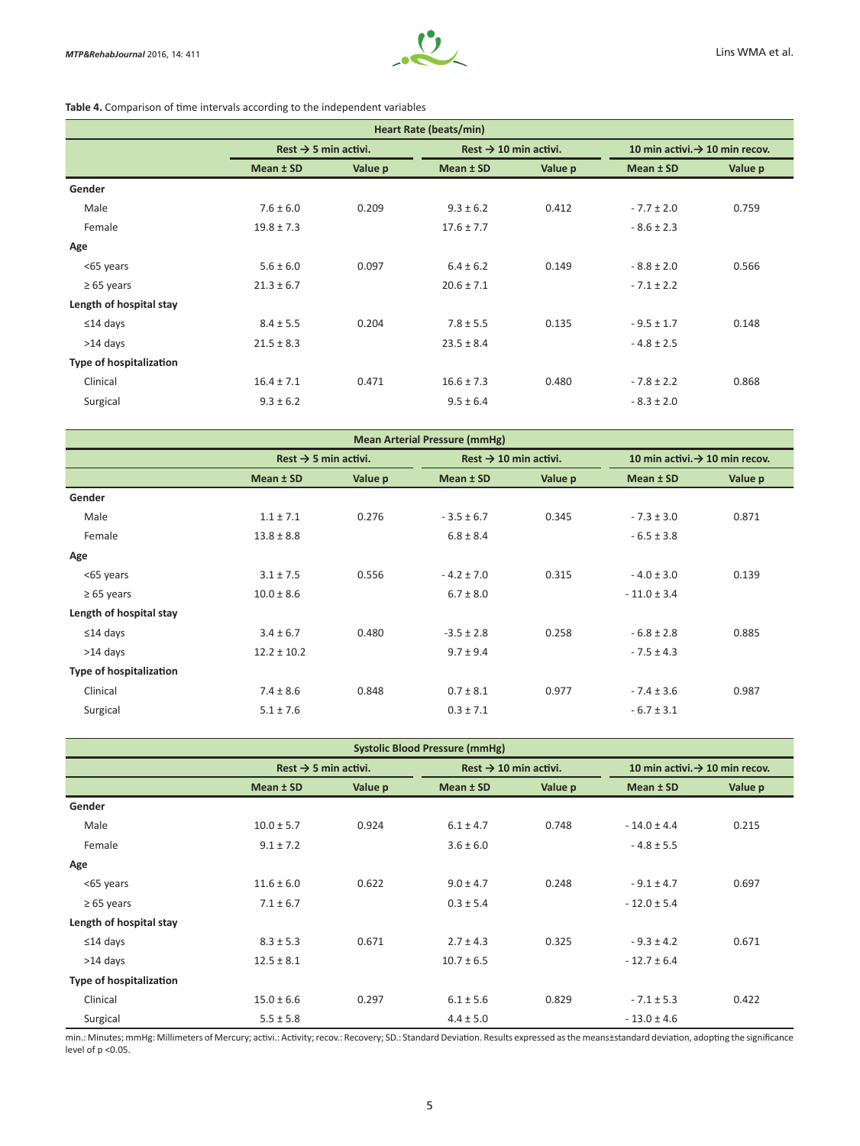

# **Table 4.** Comparison of time intervals according to the independent variables

| Heart Rate (beats/min)         |                                  |         |                                   |         |                                            |         |
|--------------------------------|----------------------------------|---------|-----------------------------------|---------|--------------------------------------------|---------|
|                                | Rest $\rightarrow$ 5 min activi. |         | Rest $\rightarrow$ 10 min activi. |         | 10 min activi. $\rightarrow$ 10 min recov. |         |
|                                | Mean $±$ SD                      | Value p | Mean ± SD                         | Value p | Mean ± SD                                  | Value p |
| Gender                         |                                  |         |                                   |         |                                            |         |
| Male                           | $7.6 \pm 6.0$                    | 0.209   | $9.3 \pm 6.2$                     | 0.412   | $-7.7 \pm 2.0$                             | 0.759   |
| Female                         | $19.8 \pm 7.3$                   |         | $17.6 \pm 7.7$                    |         | $-8.6 \pm 2.3$                             |         |
| Age                            |                                  |         |                                   |         |                                            |         |
| <65 years                      | $5.6 \pm 6.0$                    | 0.097   | $6.4 \pm 6.2$                     | 0.149   | $-8.8 \pm 2.0$                             | 0.566   |
| $\geq 65$ years                | $21.3 \pm 6.7$                   |         | $20.6 \pm 7.1$                    |         | $-7.1 \pm 2.2$                             |         |
| Length of hospital stay        |                                  |         |                                   |         |                                            |         |
| $\leq$ 14 days                 | $8.4 \pm 5.5$                    | 0.204   | $7.8 \pm 5.5$                     | 0.135   | $-9.5 \pm 1.7$                             | 0.148   |
| $>14$ days                     | $21.5 \pm 8.3$                   |         | $23.5 \pm 8.4$                    |         | $-4.8 \pm 2.5$                             |         |
| <b>Type of hospitalization</b> |                                  |         |                                   |         |                                            |         |
| Clinical                       | $16.4 \pm 7.1$                   | 0.471   | $16.6 \pm 7.3$                    | 0.480   | $-7.8 \pm 2.2$                             | 0.868   |
| Surgical                       | $9.3 \pm 6.2$                    |         | $9.5 \pm 6.4$                     |         | $-8.3 \pm 2.0$                             |         |

| <b>Mean Arterial Pressure (mmHg)</b> |         |                                   |         |                                            |         |  |
|--------------------------------------|---------|-----------------------------------|---------|--------------------------------------------|---------|--|
| Rest $\rightarrow$ 5 min activi.     |         | Rest $\rightarrow$ 10 min activi. |         | 10 min activi. $\rightarrow$ 10 min recov. |         |  |
| Mean $±$ SD                          | Value p | Mean ± SD                         | Value p | Mean ± SD                                  | Value p |  |
|                                      |         |                                   |         |                                            |         |  |
| $1.1 \pm 7.1$                        | 0.276   | $-3.5 \pm 6.7$                    | 0.345   | $-7.3 \pm 3.0$                             | 0.871   |  |
| $13.8 \pm 8.8$                       |         | $6.8 \pm 8.4$                     |         | $-6.5 \pm 3.8$                             |         |  |
|                                      |         |                                   |         |                                            |         |  |
| $3.1 \pm 7.5$                        | 0.556   | $-4.2 \pm 7.0$                    | 0.315   | $-4.0 \pm 3.0$                             | 0.139   |  |
| $10.0 \pm 8.6$                       |         | $6.7 \pm 8.0$                     |         | $-11.0 \pm 3.4$                            |         |  |
|                                      |         |                                   |         |                                            |         |  |
| $3.4 \pm 6.7$                        | 0.480   | $-3.5 \pm 2.8$                    | 0.258   | $-6.8 \pm 2.8$                             | 0.885   |  |
| $12.2 \pm 10.2$                      |         | $9.7 \pm 9.4$                     |         | $-7.5 \pm 4.3$                             |         |  |
|                                      |         |                                   |         |                                            |         |  |
| $7.4 \pm 8.6$                        | 0.848   | $0.7 \pm 8.1$                     | 0.977   | $-7.4 \pm 3.6$                             | 0.987   |  |
| $5.1 \pm 7.6$                        |         | $0.3 \pm 7.1$                     |         | $-6.7 \pm 3.1$                             |         |  |
|                                      |         |                                   |         |                                            |         |  |

| <b>Systolic Blood Pressure (mmHg)</b> |                                  |         |                                   |         |                                            |         |
|---------------------------------------|----------------------------------|---------|-----------------------------------|---------|--------------------------------------------|---------|
|                                       | Rest $\rightarrow$ 5 min activi. |         | Rest $\rightarrow$ 10 min activi. |         | 10 min activi. $\rightarrow$ 10 min recov. |         |
|                                       | Mean $±$ SD                      | Value p | Mean $±$ SD                       | Value p | Mean $±$ SD                                | Value p |
| Gender                                |                                  |         |                                   |         |                                            |         |
| Male                                  | $10.0 \pm 5.7$                   | 0.924   | $6.1 \pm 4.7$                     | 0.748   | $-14.0 \pm 4.4$                            | 0.215   |
| Female                                | $9.1 \pm 7.2$                    |         | $3.6 \pm 6.0$                     |         | $-4.8 \pm 5.5$                             |         |
| Age                                   |                                  |         |                                   |         |                                            |         |
| <65 years                             | $11.6 \pm 6.0$                   | 0.622   | $9.0 \pm 4.7$                     | 0.248   | $-9.1 \pm 4.7$                             | 0.697   |
| $\geq 65$ years                       | $7.1 \pm 6.7$                    |         | $0.3 \pm 5.4$                     |         | $-12.0 \pm 5.4$                            |         |
| Length of hospital stay               |                                  |         |                                   |         |                                            |         |
| $\leq$ 14 days                        | $8.3 \pm 5.3$                    | 0.671   | $2.7 \pm 4.3$                     | 0.325   | $-9.3 \pm 4.2$                             | 0.671   |
| $>14$ days                            | $12.5 \pm 8.1$                   |         | $10.7 \pm 6.5$                    |         | $-12.7 \pm 6.4$                            |         |
| <b>Type of hospitalization</b>        |                                  |         |                                   |         |                                            |         |
| Clinical                              | $15.0 \pm 6.6$                   | 0.297   | $6.1 \pm 5.6$                     | 0.829   | $-7.1 \pm 5.3$                             | 0.422   |
| Surgical                              | $5.5 \pm 5.8$                    |         | $4.4 \pm 5.0$                     |         | $-13.0 \pm 4.6$                            |         |

min.: Minutes; mmHg: Millimeters of Mercury; activi.: Activity; recov.: Recovery; SD.: Standard Deviation. Results expressed as the means±standard deviation, adopting the significance level of p <0.05.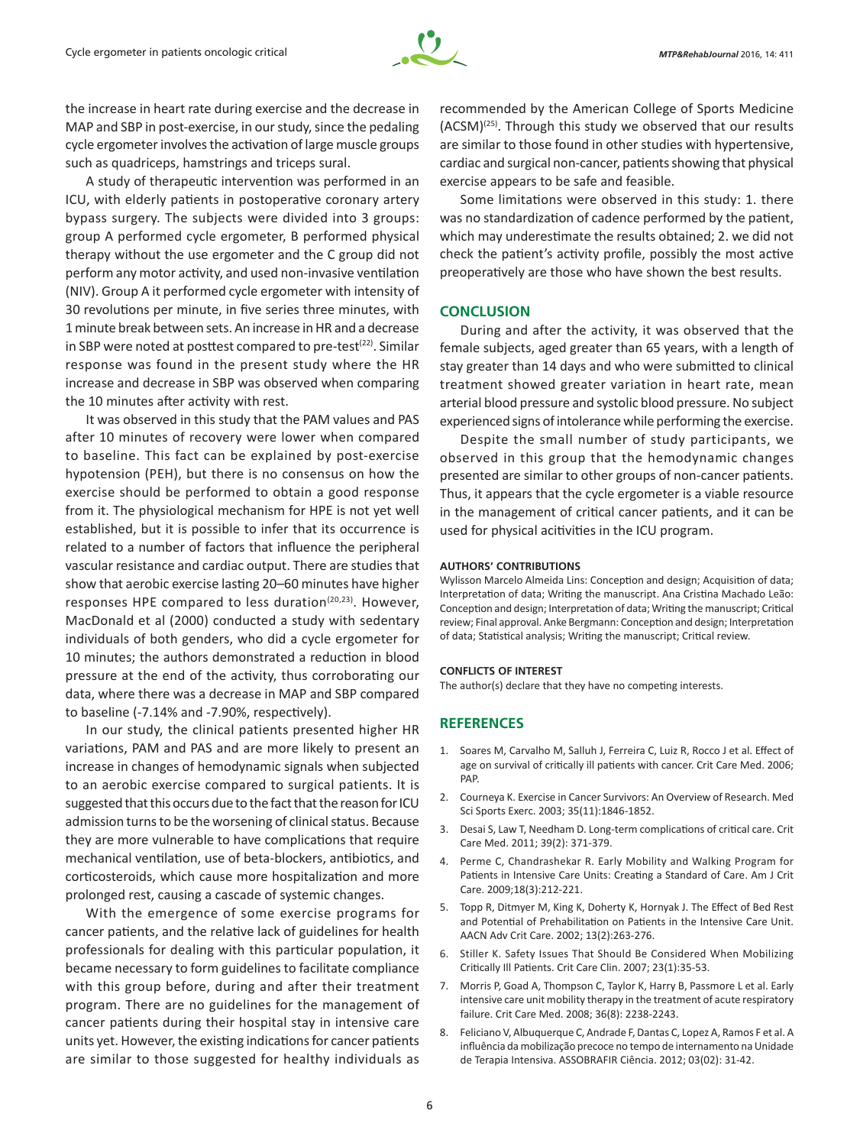

the increase in heart rate during exercise and the decrease in MAP and SBP in post-exercise, in our study, since the pedaling cycle ergometer involves the activation of large muscle groups such as quadriceps, hamstrings and triceps sural.

A study of therapeutic intervention was performed in an ICU, with elderly patients in postoperative coronary artery bypass surgery. The subjects were divided into 3 groups: group A performed cycle ergometer, B performed physical therapy without the use ergometer and the C group did not perform any motor activity, and used non-invasive ventilation (NIV). Group A it performed cycle ergometer with intensity of 30 revolutions per minute, in five series three minutes, with 1minute break between sets. An increase in HR and a decrease in SBP were noted at posttest compared to pre-test $(22)$ . Similar response was found in the present study where the HR increase and decrease in SBP was observed when comparing the 10 minutes after activity with rest.

It was observed in this study that the PAM values and PAS after 10 minutes of recovery were lower when compared to baseline. This fact can be explained by post-exercise hypotension (PEH), but there is no consensus on how the exercise should be performed to obtain a good response from it. The physiological mechanism for HPE is not yet well established, but it is possible to infer that its occurrence is related to a number of factors that influence the peripheral vascular resistance and cardiac output. There are studies that show that aerobic exercise lasting 20–60 minutes have higher responses HPE compared to less duration<sup>(20,23)</sup>. However, MacDonald et al (2000) conducted a study with sedentary individuals of both genders, who did a cycle ergometer for 10 minutes; the authors demonstrated a reduction in blood pressure at the end of the activity, thus corroborating our data, where there was a decrease in MAP and SBP compared to baseline (-7.14% and -7.90%, respectively).

In our study, the clinical patients presented higher HR variations, PAM and PAS and are more likely to present an increase in changes of hemodynamic signals when subjected to an aerobic exercise compared to surgical patients. It is suggested that this occurs due to the fact that the reason for ICU admission turns to be the worsening of clinical status. Because they are more vulnerable to have complications that require mechanical ventilation, use of beta-blockers, antibiotics, and corticosteroids, which cause more hospitalization and more prolonged rest, causing a cascade of systemic changes.

With the emergence of some exercise programs for cancer patients, and the relative lack of guidelines for health professionals for dealing with this particular population, it became necessary to form guidelines to facilitate compliance with this group before, during and after their treatment program. There are no guidelines for the management of cancer patients during their hospital stay in intensive care units yet. However, the existing indications for cancer patients are similar to those suggested for healthy individuals as

recommended by the American College of Sports Medicine (ACSM)(25). Through this study we observed that our results are similar to those found in other studies with hypertensive, cardiac and surgical non-cancer, patients showing that physical exercise appears to be safe and feasible.

Some limitations were observed in this study: 1. there was no standardization of cadence performed by the patient, which may underestimate the results obtained; 2. we did not check the patient's activity profile, possibly the most active preoperatively are those who have shown the best results.

# **CONCLUSION**

During and after the activity, it was observed that the female subjects, aged greater than 65 years, with a length of stay greater than 14 days and who were submitted to clinical treatment showed greater variation in heart rate, mean arterial blood pressure and systolic blood pressure. No subject experienced signs of intolerance while performing the exercise.

Despite the small number of study participants, we observed in this group that the hemodynamic changes presented are similar to other groups of non-cancer patients. Thus, it appears that the cycle ergometer is a viable resource in the management of critical cancer patients, and it can be used for physical acitivities in the ICU program.

#### **AUTHORS' CONTRIBUTIONS**

Wylisson Marcelo Almeida Lins: Conception and design; Acquisition of data; Interpretation of data; Writing the manuscript. Ana Cristina Machado Leão: Conception and design; Interpretation of data; Writing the manuscript; Critical review; Final approval. Anke Bergmann: Conception and design; Interpretation of data; Statistical analysis; Writing the manuscript; Critical review.

#### **CONFLICTS OF INTEREST**

The author(s) declare that they have no competing interests.

# **REFERENCES**

- 1. Soares M, Carvalho M, Salluh J, Ferreira C, Luiz R, Rocco J et al. Effect of age on survival of critically ill patients with cancer. Crit Care Med. 2006; PAP.
- 2. Courneya K. Exercise in Cancer Survivors: An Overview of Research. Med Sci Sports Exerc. 2003; 35(11):1846-1852.
- 3. Desai S, Law T, Needham D. Long-term complications of critical care. Crit Care Med. 2011; 39(2): 371-379.
- 4. Perme C, Chandrashekar R. Early Mobility and Walking Program for Patients in Intensive Care Units: Creating a Standard of Care. Am J Crit Care. 2009;18(3):212-221.
- 5. Topp R, Ditmyer M, King K, Doherty K, Hornyak J. The Effect of Bed Rest and Potential of Prehabilitation on Patients in the Intensive Care Unit. AACN Adv Crit Care. 2002; 13(2):263-276.
- 6. Stiller K. Safety Issues That Should Be Considered When Mobilizing Critically Ill Patients. Crit Care Clin. 2007; 23(1):35-53.
- 7. Morris P, Goad A, Thompson C, Taylor K, Harry B, Passmore L et al. Early intensive care unit mobility therapy in the treatment of acute respiratory failure. Crit Care Med. 2008; 36(8): 2238-2243.
- 8. Feliciano V, Albuquerque C, Andrade F, Dantas C, Lopez A, Ramos F et al. A influência da mobilização precoce no tempo de internamento na Unidade de Terapia Intensiva. ASSOBRAFIR Ciência. 2012; 03(02): 31-42.